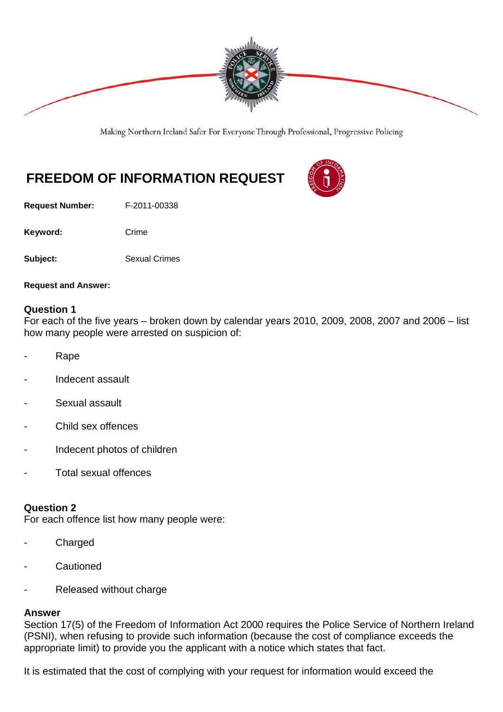

Making Northern Ireland Safer For Everyone Through Professional, Progressive Policing

# **FREEDOM OF INFORMATION REQUEST**

**Request Number:** F-2011-00338

Keyword: Crime

**Subject:** Sexual Crimes

**Request and Answer:** 

# **Question 1**

For each of the five years – broken down by calendar years 2010, 2009, 2008, 2007 and 2006 – list how many people were arrested on suspicion of:

- Rape
- Indecent assault
- Sexual assault
- Child sex offences
- Indecent photos of children
- Total sexual offences

#### **Question 2**

For each offence list how many people were:

- **Charged**
- **Cautioned**
- Released without charge

#### **Answer**

Section 17(5) of the Freedom of Information Act 2000 requires the Police Service of Northern Ireland (PSNI), when refusing to provide such information (because the cost of compliance exceeds the appropriate limit) to provide you the applicant with a notice which states that fact.

It is estimated that the cost of complying with your request for information would exceed the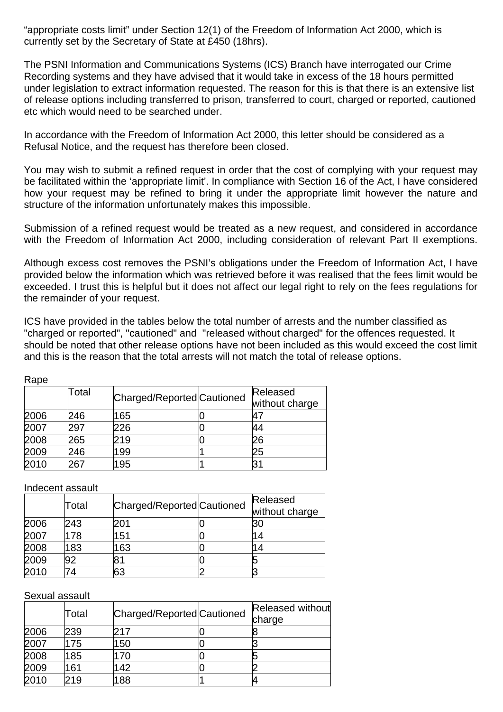"appropriate costs limit" under Section 12(1) of the Freedom of Information Act 2000, which is currently set by the Secretary of State at £450 (18hrs).

The PSNI Information and Communications Systems (ICS) Branch have interrogated our Crime Recording systems and they have advised that it would take in excess of the 18 hours permitted under legislation to extract information requested. The reason for this is that there is an extensive list of release options including transferred to prison, transferred to court, charged or reported, cautioned etc which would need to be searched under.

In accordance with the Freedom of Information Act 2000, this letter should be considered as a Refusal Notice, and the request has therefore been closed.

You may wish to submit a refined request in order that the cost of complying with your request may be facilitated within the 'appropriate limit'. In compliance with Section 16 of the Act, I have considered how your request may be refined to bring it under the appropriate limit however the nature and structure of the information unfortunately makes this impossible.

Submission of a refined request would be treated as a new request, and considered in accordance with the Freedom of Information Act 2000, including consideration of relevant Part II exemptions.

Although excess cost removes the PSNI's obligations under the Freedom of Information Act, I have provided below the information which was retrieved before it was realised that the fees limit would be exceeded. I trust this is helpful but it does not affect our legal right to rely on the fees regulations for the remainder of your request.

ICS have provided in the tables below the total number of arrests and the number classified as "charged or reported", "cautioned" and "released without charged" for the offences requested. It should be noted that other release options have not been included as this would exceed the cost limit and this is the reason that the total arrests will not match the total of release options.

| nave |       |                            |  |                            |  |
|------|-------|----------------------------|--|----------------------------|--|
|      | Total | Charged/Reported Cautioned |  | Released<br>without charge |  |
| 2006 | 246   | 165                        |  | 47                         |  |
| 2007 | 297   | 226                        |  | 44                         |  |
| 2008 | 265   | 219                        |  | 26                         |  |
| 2009 | 246   | 199                        |  | 25                         |  |
| 2010 | 267   | 195                        |  |                            |  |

Indecent assault

Rape

|      | Total | Charged/Reported Cautioned |  | Released                 |
|------|-------|----------------------------|--|--------------------------|
|      |       |                            |  | without charge           |
| 2006 | 243   | 201                        |  | 30                       |
| 2007 | 178   | 151                        |  | $\overline{\mathcal{L}}$ |
| 2008 | 183   | 163                        |  |                          |
| 2009 | 92    |                            |  |                          |
| 2010 | ΄4    | 63                         |  |                          |

Sexual assault

|      | Total | Charged/Reported Cautioned |  | Released without |
|------|-------|----------------------------|--|------------------|
|      |       |                            |  | charge           |
| 2006 | 239   |                            |  |                  |
| 2007 | 175   | 50                         |  |                  |
| 2008 | 185   | 70                         |  |                  |
| 2009 | 161   | 42                         |  |                  |
| 2010 | 19    | 88                         |  |                  |